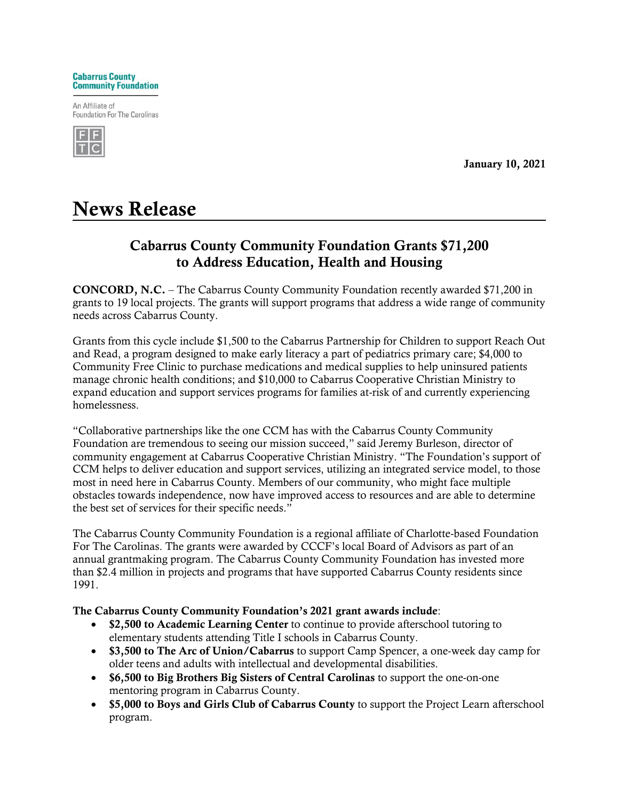

An Affiliate of **Foundation For The Carolinas** 



January 10, 2021

## News Release

## Cabarrus County Community Foundation Grants \$71,200 to Address Education, Health and Housing

CONCORD, N.C. – The Cabarrus County Community Foundation recently awarded \$71,200 in grants to 19 local projects. The grants will support programs that address a wide range of community needs across Cabarrus County.

Grants from this cycle include \$1,500 to the Cabarrus Partnership for Children to support Reach Out and Read, a program designed to make early literacy a part of pediatrics primary care; \$4,000 to Community Free Clinic to purchase medications and medical supplies to help uninsured patients manage chronic health conditions; and \$10,000 to Cabarrus Cooperative Christian Ministry to expand education and support services programs for families at-risk of and currently experiencing homelessness.

"Collaborative partnerships like the one CCM has with the Cabarrus County Community Foundation are tremendous to seeing our mission succeed," said Jeremy Burleson, director of community engagement at Cabarrus Cooperative Christian Ministry. "The Foundation's support of CCM helps to deliver education and support services, utilizing an integrated service model, to those most in need here in Cabarrus County. Members of our community, who might face multiple obstacles towards independence, now have improved access to resources and are able to determine the best set of services for their specific needs."

The Cabarrus County Community Foundation is a regional affiliate of Charlotte-based Foundation For The Carolinas. The grants were awarded by CCCF's local Board of Advisors as part of an annual grantmaking program. The Cabarrus County Community Foundation has invested more than \$2.4 million in projects and programs that have supported Cabarrus County residents since 1991.

## The Cabarrus County Community Foundation's 2021 grant awards include:

- \$2,500 to Academic Learning Center to continue to provide afterschool tutoring to elementary students attending Title I schools in Cabarrus County.
- \$3,500 to The Arc of Union/Cabarrus to support Camp Spencer, a one-week day camp for older teens and adults with intellectual and developmental disabilities.
- \$6,500 to Big Brothers Big Sisters of Central Carolinas to support the one-on-one mentoring program in Cabarrus County.
- \$5,000 to Boys and Girls Club of Cabarrus County to support the Project Learn afterschool program.